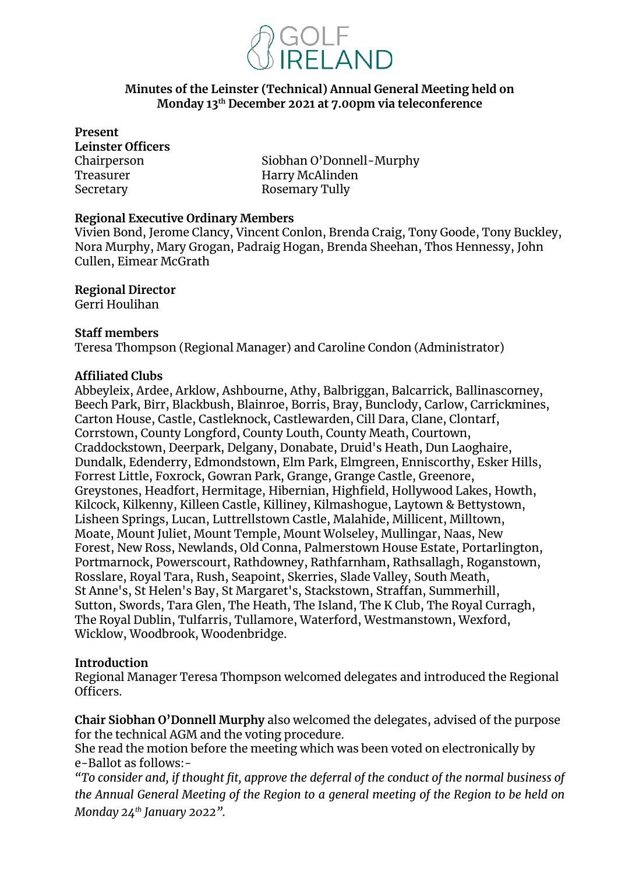

## **Minutes of the Leinster (Technical) Annual General Meeting held on Monday 13th December 2021 at 7.00pm via teleconference**

**Present Leinster Officers**  Treasurer **Harry McAlinden** Secretary **Rosemary Tully** 

Chairperson Siobhan O'Donnell-Murphy

#### **Regional Executive Ordinary Members**

Vivien Bond, Jerome Clancy, Vincent Conlon, Brenda Craig, Tony Goode, Tony Buckley, Nora Murphy, Mary Grogan, Padraig Hogan, Brenda Sheehan, Thos Hennessy, John Cullen, Eimear McGrath

**Regional Director** 

Gerri Houlihan

#### **Staff members**

Teresa Thompson (Regional Manager) and Caroline Condon (Administrator)

## **Affiliated Clubs**

Abbeyleix, Ardee, Arklow, Ashbourne, Athy, Balbriggan, Balcarrick, Ballinascorney, Beech Park, Birr, Blackbush, Blainroe, Borris, Bray, Bunclody, Carlow, Carrickmines, Carton House, Castle, Castleknock, Castlewarden, Cill Dara, Clane, Clontarf, Corrstown, County Longford, County Louth, County Meath, Courtown, Craddockstown, Deerpark, Delgany, Donabate, Druid's Heath, Dun Laoghaire, Dundalk, Edenderry, Edmondstown, Elm Park, Elmgreen, Enniscorthy, Esker Hills, Forrest Little, Foxrock, Gowran Park, Grange, Grange Castle, Greenore, Greystones, Headfort, Hermitage, Hibernian, Highfield, Hollywood Lakes, Howth, Kilcock, Kilkenny, Killeen Castle, Killiney, Kilmashogue, Laytown & Bettystown, Lisheen Springs, Lucan, Luttrellstown Castle, Malahide, Millicent, Milltown, Moate, Mount Juliet, Mount Temple, Mount Wolseley, Mullingar, Naas, New Forest, New Ross, Newlands, Old Conna, Palmerstown House Estate, Portarlington, Portmarnock, Powerscourt, Rathdowney, Rathfarnham, Rathsallagh, Roganstown, Rosslare, Royal Tara, Rush, Seapoint, Skerries, Slade Valley, South Meath, St Anne's, St Helen's Bay, St Margaret's, Stackstown, Straffan, Summerhill, Sutton, Swords, Tara Glen, The Heath, The Island, The K Club, The Royal Curragh, The Royal Dublin, Tulfarris, Tullamore, Waterford, Westmanstown, Wexford, Wicklow, Woodbrook, Woodenbridge.

## **Introduction**

Regional Manager Teresa Thompson welcomed delegates and introduced the Regional Officers.

**Chair Siobhan O'Donnell Murphy** also welcomed the delegates, advised of the purpose for the technical AGM and the voting procedure.

She read the motion before the meeting which was been voted on electronically by e-Ballot as follows:-

*"To consider and, if thought fit, approve the deferral of the conduct of the normal business of the Annual General Meeting of the Region to a general meeting of the Region to be held on Monday 24th January 2022".*